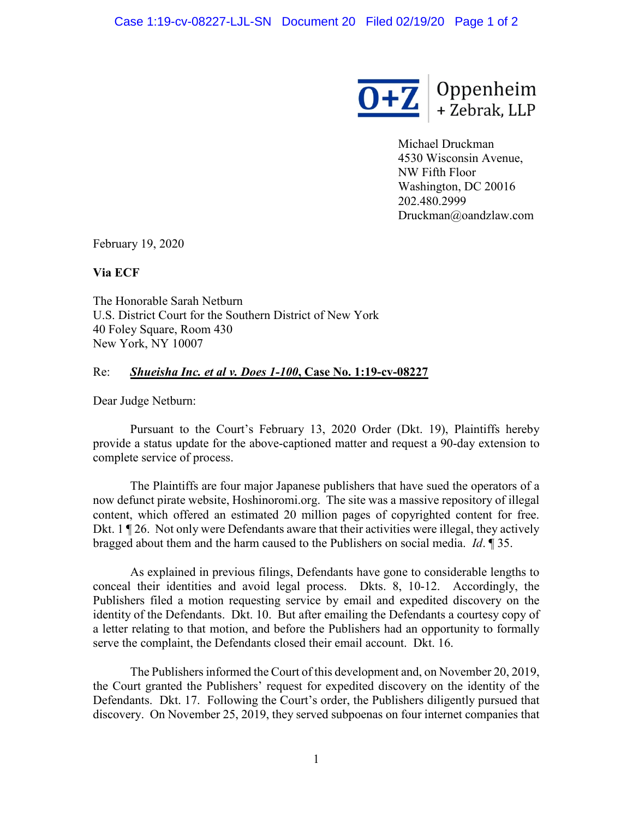

Michael Druckman 4530 Wisconsin Avenue, NW Fifth Floor Washington, DC 20016 202.480.2999 Druckman@oandzlaw.com

February 19, 2020

**Via ECF**

The Honorable Sarah Netburn U.S. District Court for the Southern District of New York 40 Foley Square, Room 430 New York, NY 10007

## Re: *Shueisha Inc. et al v. Does 1-100***, Case No. 1:19-cv-08227**

Dear Judge Netburn:

Pursuant to the Court's February 13, 2020 Order (Dkt. 19), Plaintiffs hereby provide a status update for the above-captioned matter and request a 90-day extension to complete service of process.

The Plaintiffs are four major Japanese publishers that have sued the operators of a now defunct pirate website, Hoshinoromi.org. The site was a massive repository of illegal content, which offered an estimated 20 million pages of copyrighted content for free. Dkt. 1 ¶ 26. Not only were Defendants aware that their activities were illegal, they actively bragged about them and the harm caused to the Publishers on social media. *Id*. ¶ 35.

As explained in previous filings, Defendants have gone to considerable lengths to conceal their identities and avoid legal process. Dkts. 8, 10-12. Accordingly, the Publishers filed a motion requesting service by email and expedited discovery on the identity of the Defendants. Dkt. 10. But after emailing the Defendants a courtesy copy of a letter relating to that motion, and before the Publishers had an opportunity to formally serve the complaint, the Defendants closed their email account. Dkt. 16.

The Publishers informed the Court of this development and, on November 20, 2019, the Court granted the Publishers' request for expedited discovery on the identity of the Defendants. Dkt. 17. Following the Court's order, the Publishers diligently pursued that discovery. On November 25, 2019, they served subpoenas on four internet companies that